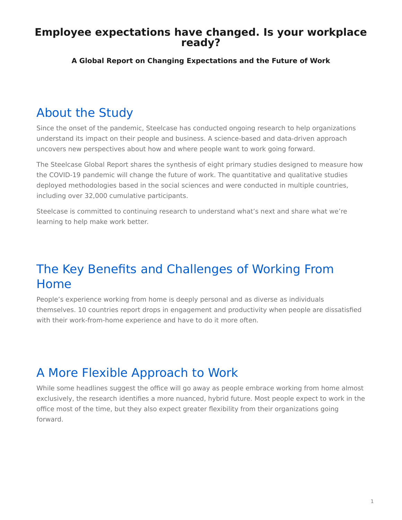### <span id="page-0-0"></span>**Employee expectations have changed. Is your workplace ready?**

#### **A Global Report on Changing Expectations and the Future of Work**

# About the Study

Since the onset of the pandemic, Steelcase has conducted ongoing research to help organizations understand its impact on their people and business. A science-based and data-driven approach uncovers new perspectives about how and where people want to work going forward.

The Steelcase Global Report shares the synthesis of eight primary studies designed to measure how the COVID-19 pandemic will change the future of work. The quantitative and qualitative studies deployed methodologies based in the social sciences and were conducted in multiple countries, including over 32,000 cumulative participants.

Steelcase is committed to continuing research to understand what's next and share what we're learning to help make work better.

# The Key Benefits and Challenges of Working From Home

People's experience working from home is deeply personal and as diverse as individuals themselves. 10 countries report drops in engagement and productivity when people are dissatisfied with their work-from-home experience and have to do it more often.

# A More Flexible Approach to Work

While some headlines suggest the office will go away as people embrace working from home almost exclusively, the research identifies a more nuanced, hybrid future. Most people expect to work in the office most of the time, but they also expect greater flexibility from their organizations going forward.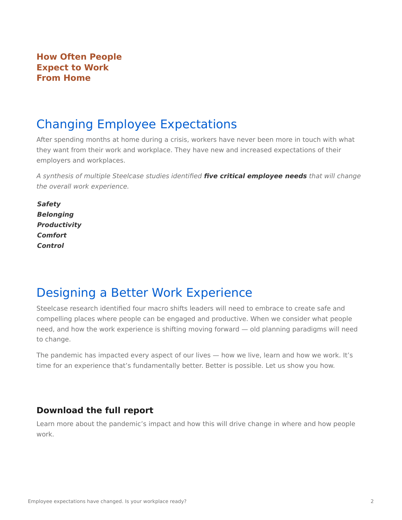### **How Often People Expect to Work From Home**

## Changing Employee Expectations

After spending months at home during a crisis, workers have never been more in touch with what they want from their work and workplace. They have new and increased expectations of their employers and workplaces.

A synthesis of multiple Steelcase studies identified **five critical employee needs** that will change the overall work experience.

• **Safety** • **Belonging** • **Productivity** • **Comfort** • **Control**

# Designing a Better Work Experience

Steelcase research identified four macro shifts leaders will need to embrace to create safe and compelling places where people can be engaged and productive. When we consider what people need, and how the work experience is shifting moving forward — old planning paradigms will need to change.

The pandemic has impacted every aspect of our lives — how we live, learn and how we work. It's time for an experience that's fundamentally better. Better is possible. Let us show you how.

### **Download the full report**

Learn more about the pandemic's impact and how this will drive change in where and how people work.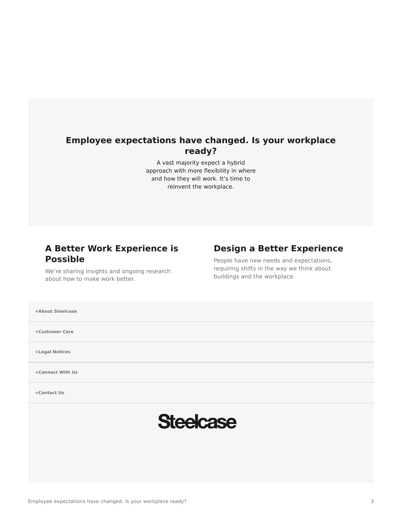### **Employee expectations have changed. Is your workplace ready?**

A vast majority expect a hybrid approach with more flexibility in where and how they will work. It's time to reinvent the workplace.

### **A Better Work Experience is Possible**

### **Design a Better Experience**

We're sharing insights and ongoing research about how to make work better.

People have new needs and expectations, requiring shifts in the way we think about buildings and the workplace.

**[+About Steelcase](https://www.steelcase.com/discover/steelcase/our-company/)**

**[+Customer Care](#page-0-0)**

**[+Legal Notices](#page-0-0)**

**[Connect With Us](https://www.steelcase.com/find-us/social-media/) [+](https://www.steelcase.com/find-us/social-media/)**

**[Contact Us](https://www.steelcase.com/about/connect/contact-us/) [+](https://www.steelcase.com/about/connect/contact-us/)**